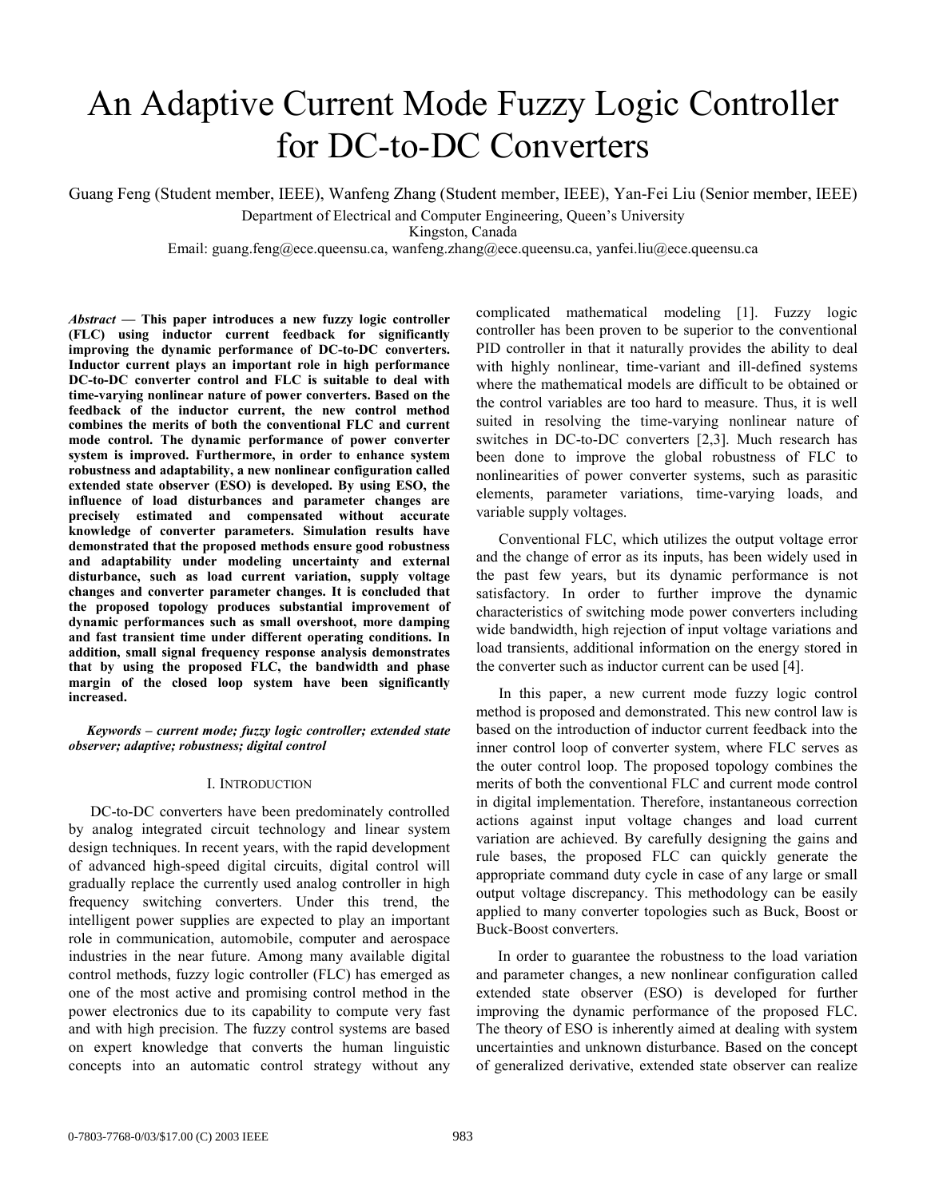# An Adaptive Current Mode Fuzzy Logic Controller for DC-to-DC Converters

Guang Feng (Student member, IEEE), Wanfeng Zhang (Student member, IEEE), Yan-Fei Liu (Senior member, IEEE) Department of Electrical and Computer Engineering, Queen's University

Kingston, Canada

Email: guang.feng@ece.queensu.ca, wanfeng.zhang@ece.queensu.ca, yanfei.liu@ece.queensu.ca

*Abstract —* **This paper introduces a new fuzzy logic controller (FLC) using inductor current feedback for significantly improving the dynamic performance of DC-to-DC converters. Inductor current plays an important role in high performance DC-to-DC converter control and FLC is suitable to deal with time-varying nonlinear nature of power converters. Based on the feedback of the inductor current, the new control method combines the merits of both the conventional FLC and current mode control. The dynamic performance of power converter system is improved. Furthermore, in order to enhance system robustness and adaptability, a new nonlinear configuration called extended state observer (ESO) is developed. By using ESO, the influence of load disturbances and parameter changes are precisely estimated and compensated without accurate knowledge of converter parameters. Simulation results have demonstrated that the proposed methods ensure good robustness and adaptability under modeling uncertainty and external disturbance, such as load current variation, supply voltage changes and converter parameter changes. It is concluded that the proposed topology produces substantial improvement of dynamic performances such as small overshoot, more damping and fast transient time under different operating conditions. In addition, small signal frequency response analysis demonstrates that by using the proposed FLC, the bandwidth and phase margin of the closed loop system have been significantly increased.** 

*Keywords – current mode; fuzzy logic controller; extended state observer; adaptive; robustness; digital control* 

## I. INTRODUCTION

DC-to-DC converters have been predominately controlled by analog integrated circuit technology and linear system design techniques. In recent years, with the rapid development of advanced high-speed digital circuits, digital control will gradually replace the currently used analog controller in high frequency switching converters. Under this trend, the intelligent power supplies are expected to play an important role in communication, automobile, computer and aerospace industries in the near future. Among many available digital control methods, fuzzy logic controller (FLC) has emerged as one of the most active and promising control method in the power electronics due to its capability to compute very fast and with high precision. The fuzzy control systems are based on expert knowledge that converts the human linguistic concepts into an automatic control strategy without any

complicated mathematical modeling [1]. Fuzzy logic controller has been proven to be superior to the conventional PID controller in that it naturally provides the ability to deal with highly nonlinear, time-variant and ill-defined systems where the mathematical models are difficult to be obtained or the control variables are too hard to measure. Thus, it is well suited in resolving the time-varying nonlinear nature of switches in DC-to-DC converters [2,3]. Much research has been done to improve the global robustness of FLC to nonlinearities of power converter systems, such as parasitic elements, parameter variations, time-varying loads, and variable supply voltages.

Conventional FLC, which utilizes the output voltage error and the change of error as its inputs, has been widely used in the past few years, but its dynamic performance is not satisfactory. In order to further improve the dynamic characteristics of switching mode power converters including wide bandwidth, high rejection of input voltage variations and load transients, additional information on the energy stored in the converter such as inductor current can be used [4].

In this paper, a new current mode fuzzy logic control method is proposed and demonstrated. This new control law is based on the introduction of inductor current feedback into the inner control loop of converter system, where FLC serves as the outer control loop. The proposed topology combines the merits of both the conventional FLC and current mode control in digital implementation. Therefore, instantaneous correction actions against input voltage changes and load current variation are achieved. By carefully designing the gains and rule bases, the proposed FLC can quickly generate the appropriate command duty cycle in case of any large or small output voltage discrepancy. This methodology can be easily applied to many converter topologies such as Buck, Boost or Buck-Boost converters.

In order to guarantee the robustness to the load variation and parameter changes, a new nonlinear configuration called extended state observer (ESO) is developed for further improving the dynamic performance of the proposed FLC. The theory of ESO is inherently aimed at dealing with system uncertainties and unknown disturbance. Based on the concept of generalized derivative, extended state observer can realize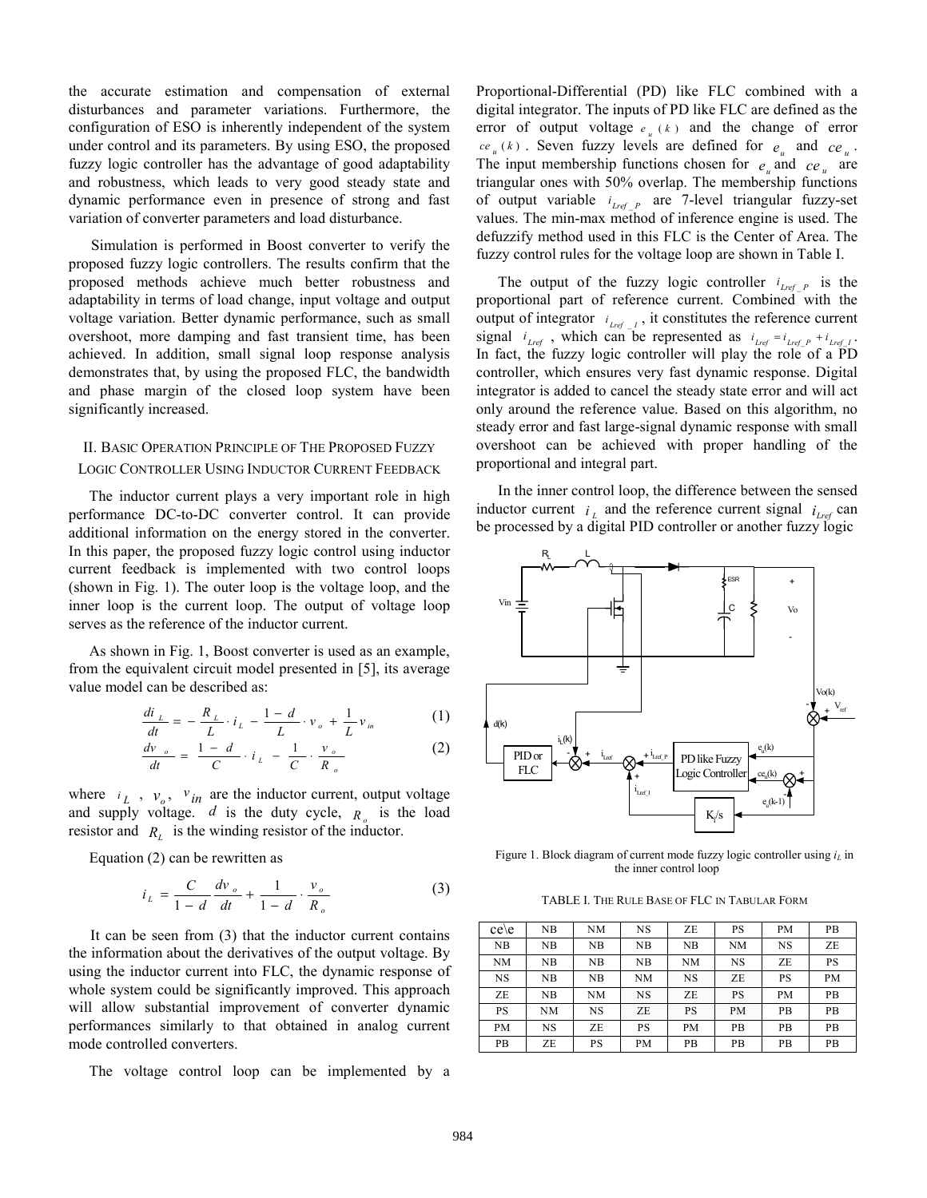the accurate estimation and compensation of external disturbances and parameter variations. Furthermore, the configuration of ESO is inherently independent of the system under control and its parameters. By using ESO, the proposed fuzzy logic controller has the advantage of good adaptability and robustness, which leads to very good steady state and dynamic performance even in presence of strong and fast variation of converter parameters and load disturbance.

Simulation is performed in Boost converter to verify the proposed fuzzy logic controllers. The results confirm that the proposed methods achieve much better robustness and adaptability in terms of load change, input voltage and output voltage variation. Better dynamic performance, such as small overshoot, more damping and fast transient time, has been achieved. In addition, small signal loop response analysis demonstrates that, by using the proposed FLC, the bandwidth and phase margin of the closed loop system have been significantly increased.

# II. BASIC OPERATION PRINCIPLE OF THE PROPOSED FUZZY LOGIC CONTROLLER USING INDUCTOR CURRENT FEEDBACK

The inductor current plays a very important role in high performance DC-to-DC converter control. It can provide additional information on the energy stored in the converter. In this paper, the proposed fuzzy logic control using inductor current feedback is implemented with two control loops (shown in Fig. 1). The outer loop is the voltage loop, and the inner loop is the current loop. The output of voltage loop serves as the reference of the inductor current.

As shown in Fig. 1, Boost converter is used as an example, from the equivalent circuit model presented in [5], its average value model can be described as:

$$
\frac{di_{L}}{dt} = -\frac{R_{L}}{L} \cdot i_{L} - \frac{1-d}{L} \cdot v_{o} + \frac{1}{L} v_{in}
$$
 (1)

$$
\frac{dv_{o}}{dt} = \frac{1-d}{C} \cdot i_{L} - \frac{1}{C} \cdot \frac{v_{o}}{R_{o}}
$$
(2)

where  $i_L$ ,  $v_o$ ,  $v_{in}$  are the inductor current, output voltage and supply voltage.  $d$  is the duty cycle,  $R_q$  is the load resistor and  $R<sub>i</sub>$  is the winding resistor of the inductor.

Equation (2) can be rewritten as

$$
i_{L} = \frac{C}{1 - d} \frac{dv_{o}}{dt} + \frac{1}{1 - d} \cdot \frac{v_{o}}{R_{o}}
$$
 (3)

It can be seen from (3) that the inductor current contains the information about the derivatives of the output voltage. By using the inductor current into FLC, the dynamic response of whole system could be significantly improved. This approach will allow substantial improvement of converter dynamic performances similarly to that obtained in analog current mode controlled converters.

The voltage control loop can be implemented by a

Proportional-Differential (PD) like FLC combined with a digital integrator. The inputs of PD like FLC are defined as the error of output voltage  $e_{u}(k)$  and the change of error  $ce_{u}(k)$ . Seven fuzzy levels are defined for  $e_{u}$  and  $ce_{u}$ . The input membership functions chosen for  $e_n$  and  $ce_n$  are triangular ones with 50% overlap. The membership functions of output variable  $i_{Lref}$  are 7-level triangular fuzzy-set values. The min-max method of inference engine is used. The defuzzify method used in this FLC is the Center of Area. The fuzzy control rules for the voltage loop are shown in Table I.

The output of the fuzzy logic controller  $i_{Lref}$  *P* is the proportional part of reference current. Combined with the output of integrator  $i_{lref}$ , it constitutes the reference current signal  $i_{Lref}$ , which can be represented as  $i_{Lref} = i_{Lref\_P} + i_{Lref\_I}$ . In fact, the fuzzy logic controller will play the role of a PD controller, which ensures very fast dynamic response. Digital integrator is added to cancel the steady state error and will act only around the reference value. Based on this algorithm, no steady error and fast large-signal dynamic response with small overshoot can be achieved with proper handling of the proportional and integral part.

In the inner control loop, the difference between the sensed inductor current  $i_l$  and the reference current signal  $i_{lref}$  can be processed by a digital PID controller or another fuzzy logic



Figure 1. Block diagram of current mode fuzzy logic controller using  $i_L$  in the inner control loop

TABLE I. THE RULE BASE OF FLC IN TABULAR FORM

| $ce \e$   | NB | NΜ | NS        | ZE | PS        | PМ        | <b>PB</b> |
|-----------|----|----|-----------|----|-----------|-----------|-----------|
| NB        | NB | NΒ | NB        | NB | NΜ        | NS        | ZE        |
| NM        | NB | NB | NB        | NM | NS        | ZE        | PS        |
| NS        | NB | NB | NΜ        | NS | ZE        | <b>PS</b> | <b>PM</b> |
| ZE        | NB | NM | <b>NS</b> | ZE | PS        | PM        | PB        |
| <b>PS</b> | NΜ | NS | ZE        | PS | <b>PM</b> | PB        | PB        |
| PM        | NS | ZE | PS        | PМ | PВ        | <b>PB</b> | <b>PB</b> |
| PВ        | ZE | PS | PM        | PB | PВ        | PB        | <b>PB</b> |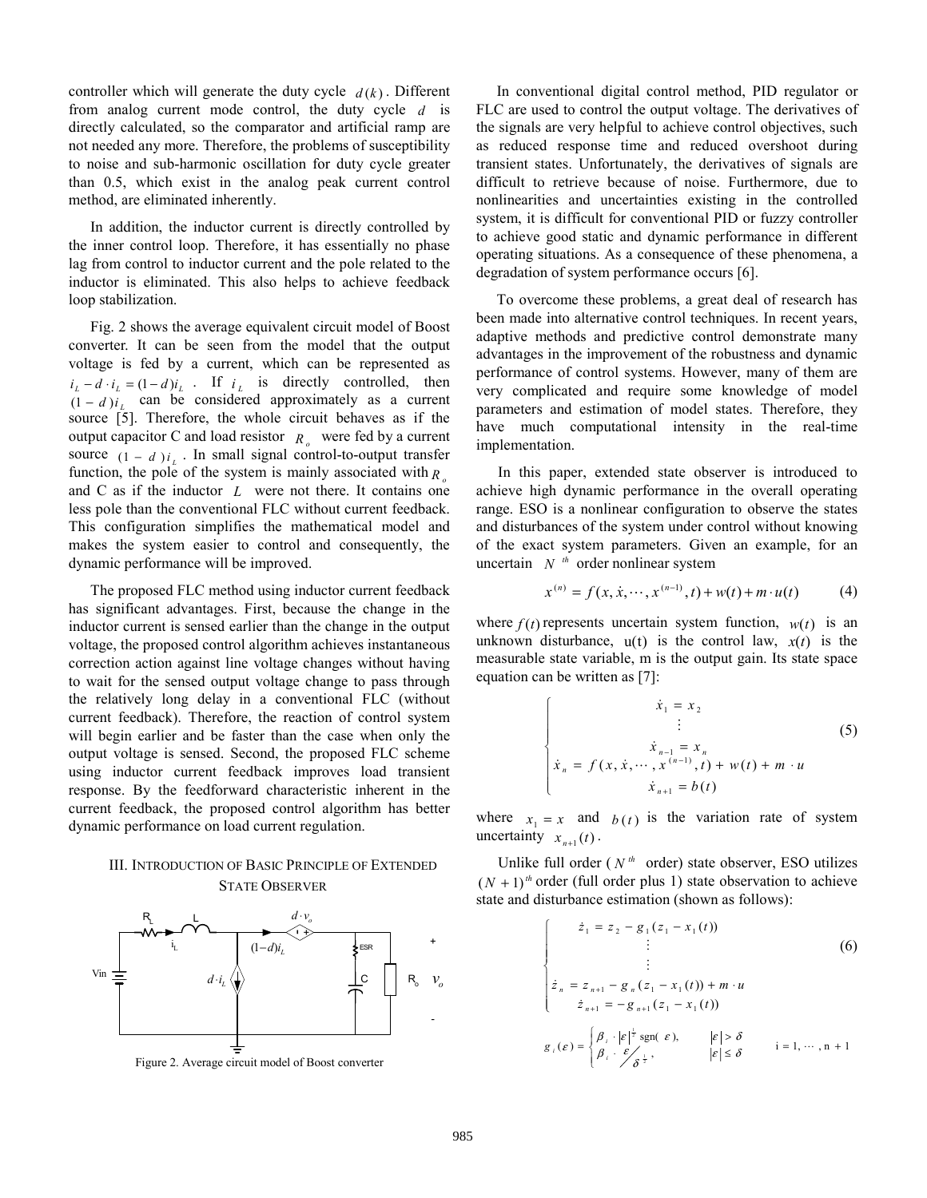controller which will generate the duty cycle  $d(k)$ . Different from analog current mode control, the duty cycle *d* is directly calculated, so the comparator and artificial ramp are not needed any more. Therefore, the problems of susceptibility to noise and sub-harmonic oscillation for duty cycle greater than 0.5, which exist in the analog peak current control method, are eliminated inherently.

In addition, the inductor current is directly controlled by the inner control loop. Therefore, it has essentially no phase lag from control to inductor current and the pole related to the inductor is eliminated. This also helps to achieve feedback loop stabilization.

Fig. 2 shows the average equivalent circuit model of Boost converter. It can be seen from the model that the output voltage is fed by a current, which can be represented as  $i_L - d \cdot i_L = (1 - d)i_L$  . If  $i_L$  is directly controlled, then  $(1 - d)i$ , can be considered approximately as a current source [5]. Therefore, the whole circuit behaves as if the output capacitor C and load resistor  $R_{\alpha}$  were fed by a current source  $(1 - d) i_{L}$ . In small signal control-to-output transfer function, the pole of the system is mainly associated with  $R_{\alpha}$ and C as if the inductor *L* were not there. It contains one less pole than the conventional FLC without current feedback. This configuration simplifies the mathematical model and makes the system easier to control and consequently, the dynamic performance will be improved.

The proposed FLC method using inductor current feedback has significant advantages. First, because the change in the inductor current is sensed earlier than the change in the output voltage, the proposed control algorithm achieves instantaneous correction action against line voltage changes without having to wait for the sensed output voltage change to pass through the relatively long delay in a conventional FLC (without current feedback). Therefore, the reaction of control system will begin earlier and be faster than the case when only the output voltage is sensed. Second, the proposed FLC scheme using inductor current feedback improves load transient response. By the feedforward characteristic inherent in the current feedback, the proposed control algorithm has better dynamic performance on load current regulation.

# III. INTRODUCTION OF BASIC PRINCIPLE OF EXTENDED STATE OBSERVER



Figure 2. Average circuit model of Boost converter

In conventional digital control method, PID regulator or FLC are used to control the output voltage. The derivatives of the signals are very helpful to achieve control objectives, such as reduced response time and reduced overshoot during transient states. Unfortunately, the derivatives of signals are difficult to retrieve because of noise. Furthermore, due to nonlinearities and uncertainties existing in the controlled system, it is difficult for conventional PID or fuzzy controller to achieve good static and dynamic performance in different operating situations. As a consequence of these phenomena, a degradation of system performance occurs [6].

To overcome these problems, a great deal of research has been made into alternative control techniques. In recent years, adaptive methods and predictive control demonstrate many advantages in the improvement of the robustness and dynamic performance of control systems. However, many of them are very complicated and require some knowledge of model parameters and estimation of model states. Therefore, they have much computational intensity in the real-time implementation.

In this paper, extended state observer is introduced to achieve high dynamic performance in the overall operating range. ESO is a nonlinear configuration to observe the states and disturbances of the system under control without knowing of the exact system parameters. Given an example, for an uncertain  $N^{th}$  order nonlinear system

$$
x^{(n)} = f(x, \dot{x}, \dots, x^{(n-1)}, t) + w(t) + m \cdot u(t)
$$
 (4)

where  $f(t)$  represents uncertain system function,  $w(t)$  is an unknown disturbance,  $u(t)$  is the control law,  $x(t)$  is the measurable state variable, m is the output gain. Its state space equation can be written as [7]:

$$
\begin{cases}\n\dot{x}_1 = x_2 \\
\vdots \\
\dot{x}_{n-1} = x_n \\
\dot{x}_n = f(x, \dot{x}, \dots, x^{(n-1)}, t) + w(t) + m \cdot u \\
\dot{x}_{n+1} = b(t)\n\end{cases}
$$
\n(5)

where  $x_1 = x$  and  $b(t)$  is the variation rate of system uncertainty  $x_{n+1}(t)$ .

Unlike full order ( $N^{th}$  order) state observer, ESO utilizes  $(N + 1)$ <sup>th</sup> order (full order plus 1) state observation to achieve state and disturbance estimation (shown as follows):

$$
\begin{cases}\n\dot{z}_1 = z_2 - g_1(z_1 - x_1(t)) \\
\vdots \\
\dot{z}_n = z_{n+1} - g_n(z_1 - x_1(t)) + m \cdot u \\
\dot{z}_{n+1} = -g_{n+1}(z_1 - x_1(t))\n\end{cases}
$$
\n(6)  
\n
$$
g_i(\varepsilon) = \begin{cases}\n\beta_i \cdot |\varepsilon|^{\frac{1}{2}} \operatorname{sgn}(\varepsilon), & |\varepsilon| > \delta \\
\beta_i \cdot \varepsilon \int \varepsilon^{\frac{1}{2}}, & |\varepsilon| \le \delta \\
\end{cases}
$$
\ni = 1, ..., n + 1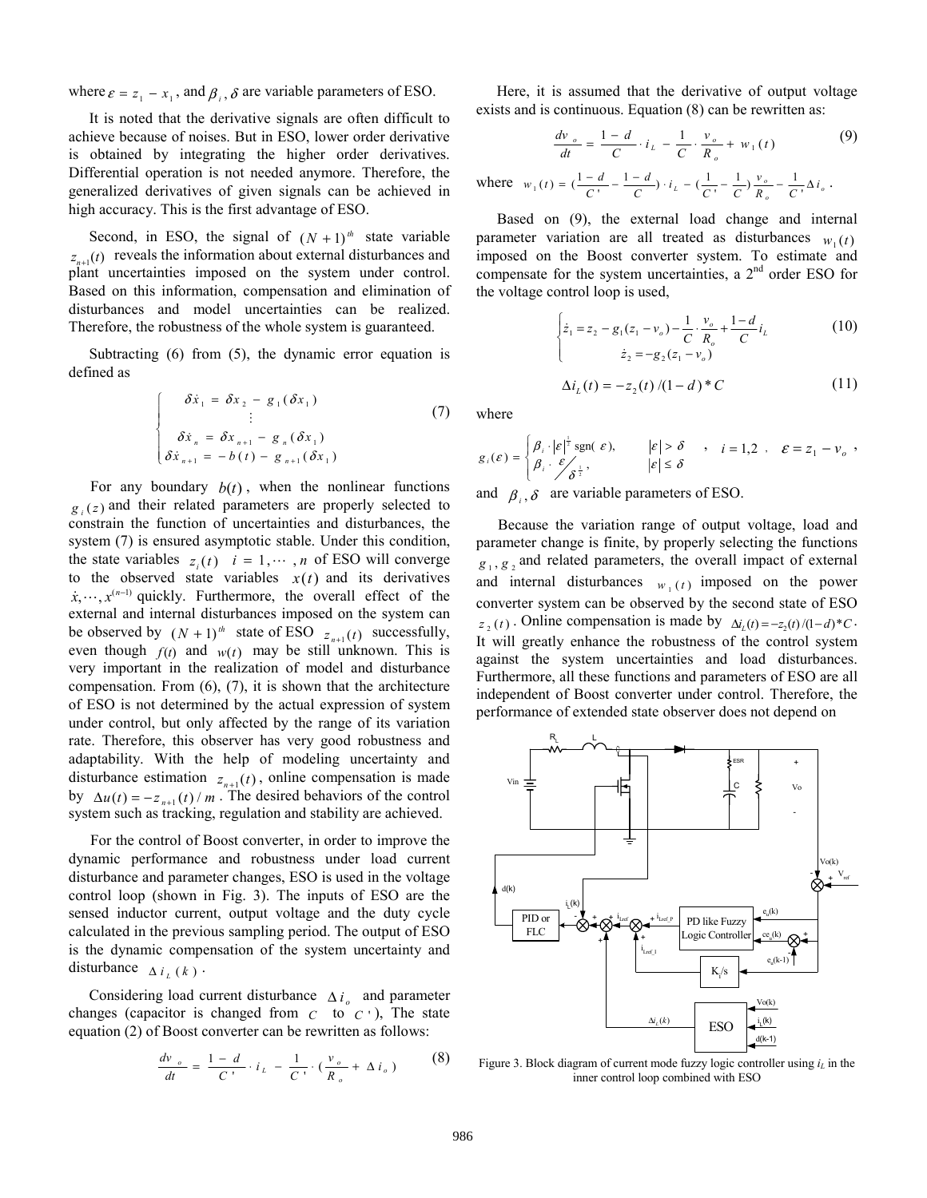where  $\varepsilon = z_1 - x_1$ , and  $\beta_i$ ,  $\delta$  are variable parameters of ESO.

It is noted that the derivative signals are often difficult to achieve because of noises. But in ESO, lower order derivative is obtained by integrating the higher order derivatives. Differential operation is not needed anymore. Therefore, the generalized derivatives of given signals can be achieved in high accuracy. This is the first advantage of ESO.

Second, in ESO, the signal of  $(N + 1)^{th}$  state variable  $z_{n+1}(t)$  reveals the information about external disturbances and plant uncertainties imposed on the system under control. Based on this information, compensation and elimination of disturbances and model uncertainties can be realized. Therefore, the robustness of the whole system is guaranteed.

Subtracting (6) from (5), the dynamic error equation is defined as

$$
\begin{cases}\n\delta \dot{x}_1 = \delta x_2 - g_1(\delta x_1) \\
\vdots \\
\delta \dot{x}_n = \delta x_{n+1} - g_n(\delta x_1) \\
\delta \dot{x}_{n+1} = -b(t) - g_{n+1}(\delta x_1)\n\end{cases}
$$
\n(7)

For any boundary  $b(t)$ , when the nonlinear functions  $g_i(z)$  and their related parameters are properly selected to constrain the function of uncertainties and disturbances, the system (7) is ensured asymptotic stable. Under this condition, the state variables  $z_i(t)$   $i = 1, \dots, n$  of ESO will converge to the observed state variables  $x(t)$  and its derivatives  $\dot{x}, \dots, x^{(n-1)}$  quickly. Furthermore, the overall effect of the external and internal disturbances imposed on the system can be observed by  $(N + 1)^{th}$  state of ESO  $z_{n+1}(t)$  successfully, even though  $f(t)$  and  $w(t)$  may be still unknown. This is very important in the realization of model and disturbance compensation. From (6), (7), it is shown that the architecture of ESO is not determined by the actual expression of system under control, but only affected by the range of its variation rate. Therefore, this observer has very good robustness and adaptability. With the help of modeling uncertainty and disturbance estimation  $z_{n+1}(t)$ , online compensation is made by  $\Delta u(t) = -z_{n+1}(t) / m$ . The desired behaviors of the control system such as tracking, regulation and stability are achieved.

For the control of Boost converter, in order to improve the dynamic performance and robustness under load current disturbance and parameter changes, ESO is used in the voltage control loop (shown in Fig. 3). The inputs of ESO are the sensed inductor current, output voltage and the duty cycle calculated in the previous sampling period. The output of ESO is the dynamic compensation of the system uncertainty and disturbance  $\Delta i_L(k)$ .

Considering load current disturbance  $\Delta i_a$  and parameter changes (capacitor is changed from  $C$  to  $C'$ ), The state equation (2) of Boost converter can be rewritten as follows:

$$
\frac{dv_{o}}{dt} = \frac{1-d}{C} \cdot i_{L} - \frac{1}{C} \cdot (\frac{v_{o}}{R_{o}} + \Delta i_{o})
$$
 (8)

Here, it is assumed that the derivative of output voltage exists and is continuous. Equation (8) can be rewritten as:

$$
\frac{dv_{o}}{dt} = \frac{1 - d}{C} \cdot i_{L} - \frac{1}{C} \cdot \frac{v_{o}}{R_{o}} + w_{1}(t) \tag{9}
$$

where  $w_1(t) = \left(\frac{1-d}{C} - \frac{1-d}{C}\right) \cdot i_L - \left(\frac{1}{C} - \frac{1}{C}\right) \frac{v_o}{R_o} - \frac{1}{C} \Delta i_o$  $L = (\frac{1}{C} - \frac{1}{C}) \frac{V_o}{R_o} - \frac{1}{C} \Delta i$ *v*  $\frac{a}{C}$ ) ·  $i_L$  –  $\left(\frac{1}{C} - \frac{1}{C}\right)$ *d*  $w_1(t) = \left(\frac{1-d}{C}, -\frac{1-d}{C}\right) \cdot i_L - \left(\frac{1}{C}, -\frac{1}{C}\right) \frac{v_o}{R_o} - \frac{1}{C}, \Delta i_o \; .$ 

Based on (9), the external load change and internal parameter variation are all treated as disturbances  $w_1(t)$ imposed on the Boost converter system. To estimate and compensate for the system uncertainties, a  $2<sup>nd</sup>$  order ESO for the voltage control loop is used,

$$
\begin{cases} \n\dot{z}_1 = z_2 - g_1(z_1 - v_o) - \frac{1}{C} \cdot \frac{v_o}{R_o} + \frac{1 - d}{C} i_L \\
\dot{z}_2 = -g_2(z_1 - v_o) \n\end{cases} \tag{10}
$$

$$
\Delta i_L(t) = -z_2(t)/(1-d)^*C \tag{11}
$$

where

$$
g_i(\varepsilon) = \begin{cases} \beta_i \cdot |\varepsilon|^{\frac{1}{2}} \operatorname{sgn}(\varepsilon), & |\varepsilon| > \delta \\ \beta_i \cdot \varepsilon \int \delta^{\frac{1}{2}}, & |\varepsilon| \leq \delta \end{cases}, \quad i = 1, 2 \quad \varepsilon = z_1 - v_o ,
$$

and  $\beta_i$ ,  $\delta$  are variable parameters of ESO.

Because the variation range of output voltage, load and parameter change is finite, by properly selecting the functions  $g_1, g_2$  and related parameters, the overall impact of external and internal disturbances  $w_1(t)$  imposed on the power converter system can be observed by the second state of ESO  $z_2(t)$ . Online compensation is made by  $\Delta i_t(t) = -z_2(t)/(1-d)^*C$ . It will greatly enhance the robustness of the control system against the system uncertainties and load disturbances. Furthermore, all these functions and parameters of ESO are all independent of Boost converter under control. Therefore, the performance of extended state observer does not depend on



Figure 3. Block diagram of current mode fuzzy logic controller using  $i_L$  in the inner control loop combined with ESO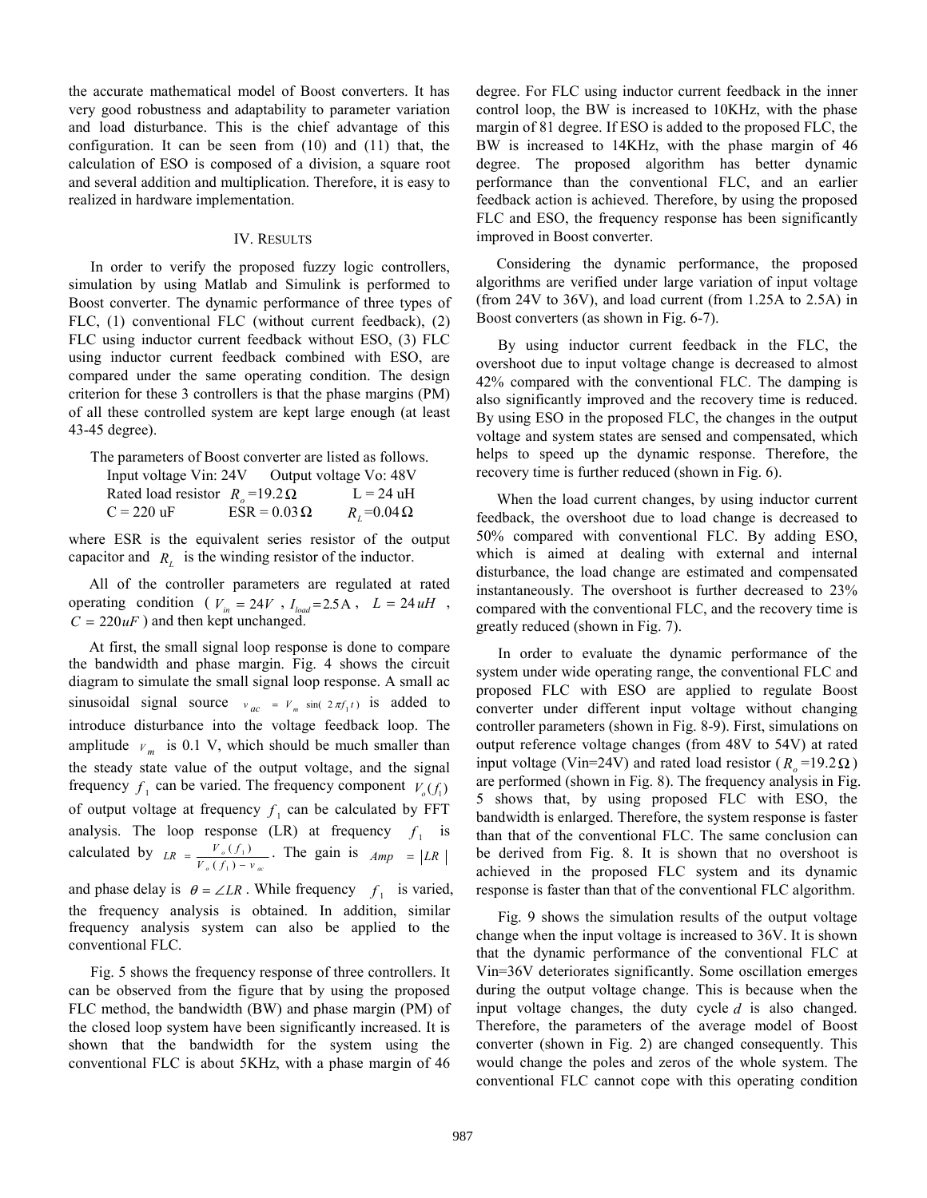the accurate mathematical model of Boost converters. It has very good robustness and adaptability to parameter variation and load disturbance. This is the chief advantage of this configuration. It can be seen from (10) and (11) that, the calculation of ESO is composed of a division, a square root and several addition and multiplication. Therefore, it is easy to realized in hardware implementation.

#### IV. RESULTS

In order to verify the proposed fuzzy logic controllers, simulation by using Matlab and Simulink is performed to Boost converter. The dynamic performance of three types of FLC, (1) conventional FLC (without current feedback), (2) FLC using inductor current feedback without ESO, (3) FLC using inductor current feedback combined with ESO, are compared under the same operating condition. The design criterion for these 3 controllers is that the phase margins (PM) of all these controlled system are kept large enough (at least 43-45 degree).

| The parameters of Boost converter are listed as follows. |  |                     |                        |  |  |  |  |  |
|----------------------------------------------------------|--|---------------------|------------------------|--|--|--|--|--|
| Input voltage Vin: 24V                                   |  |                     | Output voltage Vo: 48V |  |  |  |  |  |
| Rated load resistor $R_{\circ} = 19.2 \Omega$            |  |                     | $L = 24$ uH            |  |  |  |  |  |
| $C = 220 \text{ uF}$                                     |  | $ESR = 0.03 \Omega$ | $R_i = 0.04 \Omega$    |  |  |  |  |  |

where ESR is the equivalent series resistor of the output capacitor and  $R_L$  is the winding resistor of the inductor.

All of the controller parameters are regulated at rated operating condition ( $V_{in} = 24V$ ,  $I_{load} = 2.5A$ ,  $L = 24 uH$ ,  $C = 220uF$  ) and then kept unchanged.

At first, the small signal loop response is done to compare the bandwidth and phase margin. Fig. 4 shows the circuit diagram to simulate the small signal loop response. A small ac sinusoidal signal source  $v_{ac} = V_m \sin( 2 \pi f_1 t)$  is added to introduce disturbance into the voltage feedback loop. The amplitude  $V_m$  is 0.1 V, which should be much smaller than the steady state value of the output voltage, and the signal frequency  $f_1$  can be varied. The frequency component  $V_0(f_1)$ of output voltage at frequency  $f_1$  can be calculated by FFT analysis. The loop response (LR) at frequency  $f_1$  is calculated by  $LR = \frac{V_o(f_1)}{V_o(f_1) - v_{ac}}$  $LR = \frac{V_o(f_1)}{V_o(f_1) - v}$  $\frac{(f_1)}{(1) - v_{ac}}$ . The gain is  $Amp = |LR|$ and phase delay is  $\theta = \angle LR$ . While frequency  $f_1$  is varied, the frequency analysis is obtained. In addition, similar frequency analysis system can also be applied to the

Fig. 5 shows the frequency response of three controllers. It can be observed from the figure that by using the proposed FLC method, the bandwidth (BW) and phase margin (PM) of the closed loop system have been significantly increased. It is shown that the bandwidth for the system using the conventional FLC is about 5KHz, with a phase margin of 46

conventional FLC.

degree. For FLC using inductor current feedback in the inner control loop, the BW is increased to 10KHz, with the phase margin of 81 degree. If ESO is added to the proposed FLC, the BW is increased to 14KHz, with the phase margin of 46 degree. The proposed algorithm has better dynamic performance than the conventional FLC, and an earlier feedback action is achieved. Therefore, by using the proposed FLC and ESO, the frequency response has been significantly improved in Boost converter.

Considering the dynamic performance, the proposed algorithms are verified under large variation of input voltage (from 24V to 36V), and load current (from 1.25A to 2.5A) in Boost converters (as shown in Fig. 6-7).

By using inductor current feedback in the FLC, the overshoot due to input voltage change is decreased to almost 42% compared with the conventional FLC. The damping is also significantly improved and the recovery time is reduced. By using ESO in the proposed FLC, the changes in the output voltage and system states are sensed and compensated, which helps to speed up the dynamic response. Therefore, the recovery time is further reduced (shown in Fig. 6).

When the load current changes, by using inductor current feedback, the overshoot due to load change is decreased to 50% compared with conventional FLC. By adding ESO, which is aimed at dealing with external and internal disturbance, the load change are estimated and compensated instantaneously. The overshoot is further decreased to 23% compared with the conventional FLC, and the recovery time is greatly reduced (shown in Fig. 7).

In order to evaluate the dynamic performance of the system under wide operating range, the conventional FLC and proposed FLC with ESO are applied to regulate Boost converter under different input voltage without changing controller parameters (shown in Fig. 8-9). First, simulations on output reference voltage changes (from 48V to 54V) at rated input voltage (Vin=24V) and rated load resistor ( $R_o$ =19.2 $\Omega$ ) are performed (shown in Fig. 8). The frequency analysis in Fig. 5 shows that, by using proposed FLC with ESO, the bandwidth is enlarged. Therefore, the system response is faster than that of the conventional FLC. The same conclusion can be derived from Fig. 8. It is shown that no overshoot is achieved in the proposed FLC system and its dynamic response is faster than that of the conventional FLC algorithm.

Fig. 9 shows the simulation results of the output voltage change when the input voltage is increased to 36V. It is shown that the dynamic performance of the conventional FLC at Vin=36V deteriorates significantly. Some oscillation emerges during the output voltage change. This is because when the input voltage changes, the duty cycle *d* is also changed. Therefore, the parameters of the average model of Boost converter (shown in Fig. 2) are changed consequently. This would change the poles and zeros of the whole system. The conventional FLC cannot cope with this operating condition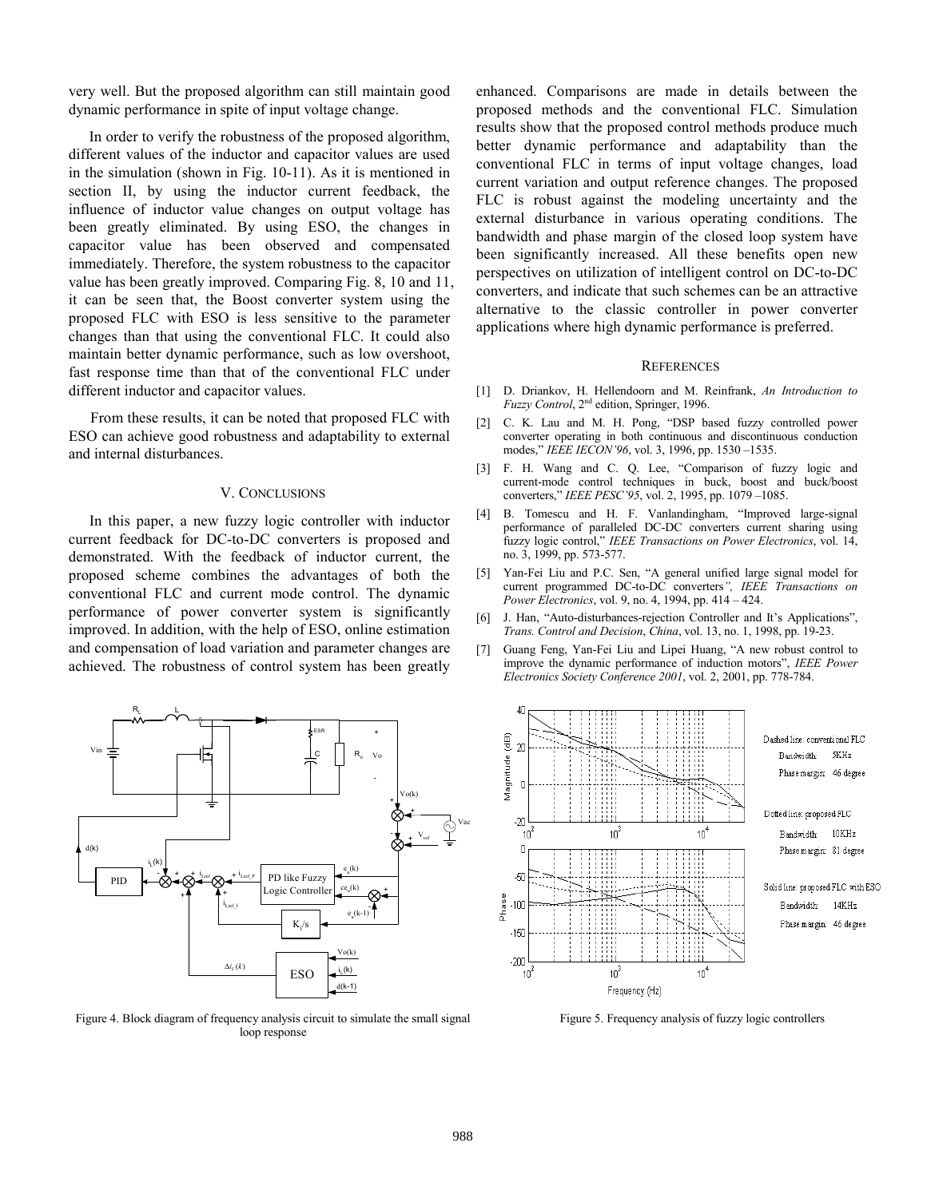very well. But the proposed algorithm can still maintain good dynamic performance in spite of input voltage change.

In order to verify the robustness of the proposed algorithm, different values of the inductor and capacitor values are used in the simulation (shown in Fig. 10-11). As it is mentioned in section II, by using the inductor current feedback, the influence of inductor value changes on output voltage has been greatly eliminated. By using ESO, the changes in capacitor value has been observed and compensated immediately. Therefore, the system robustness to the capacitor value has been greatly improved. Comparing Fig. 8, 10 and 11, it can be seen that, the Boost converter system using the proposed FLC with ESO is less sensitive to the parameter changes than that using the conventional FLC. It could also maintain better dynamic performance, such as low overshoot, fast response time than that of the conventional FLC under different inductor and capacitor values.

From these results, it can be noted that proposed FLC with ESO can achieve good robustness and adaptability to external and internal disturbances.

## V. CONCLUSIONS

In this paper, a new fuzzy logic controller with inductor current feedback for DC-to-DC converters is proposed and demonstrated. With the feedback of inductor current, the proposed scheme combines the advantages of both the conventional FLC and current mode control. The dynamic performance of power converter system is significantly improved. In addition, with the help of ESO, online estimation and compensation of load variation and parameter changes are achieved. The robustness of control system has been greatly



Figure 4. Block diagram of frequency analysis circuit to simulate the small signal loop response

enhanced. Comparisons are made in details between the proposed methods and the conventional FLC. Simulation results show that the proposed control methods produce much better dynamic performance and adaptability than the conventional FLC in terms of input voltage changes, load current variation and output reference changes. The proposed FLC is robust against the modeling uncertainty and the external disturbance in various operating conditions. The bandwidth and phase margin of the closed loop system have been significantly increased. All these benefits open new perspectives on utilization of intelligent control on DC-to-DC converters, and indicate that such schemes can be an attractive alternative to the classic controller in power converter applications where high dynamic performance is preferred.

#### **REFERENCES**

- [1] D. Driankov, H. Hellendoorn and M. Reinfrank, *An Introduction to Fuzzy Control*, 2nd edition, Springer, 1996.
- [2] C. K. Lau and M. H. Pong, "DSP based fuzzy controlled power converter operating in both continuous and discontinuous conduction modes," *IEEE IECON'96*, vol. 3, 1996, pp. 1530 –1535.
- [3] F. H. Wang and C. Q. Lee, "Comparison of fuzzy logic and current-mode control techniques in buck, boost and buck/boost converters," *IEEE PESC'95*, vol. 2, 1995, pp. 1079 –1085.
- [4] B. Tomescu and H. F. Vanlandingham, "Improved large-signal performance of paralleled DC-DC converters current sharing using fuzzy logic control," *IEEE Transactions on Power Electronics*, vol. 14, no. 3, 1999, pp. 573-577.
- [5] Yan-Fei Liu and P.C. Sen, "A general unified large signal model for current programmed DC-to-DC converters*", IEEE Transactions on Power Electronics*, vol. 9, no. 4, 1994, pp. 414 – 424.
- [6] J. Han, "Auto-disturbances-rejection Controller and It's Applications", *Trans. Control and Decision*, *China*, vol. 13, no. 1, 1998, pp. 19-23.
- [7] Guang Feng, Yan-Fei Liu and Lipei Huang, "A new robust control to improve the dynamic performance of induction motors", *IEEE Power Electronics Society Conference 2001*, vol. 2, 2001, pp. 778-784.



Figure 5. Frequency analysis of fuzzy logic controllers